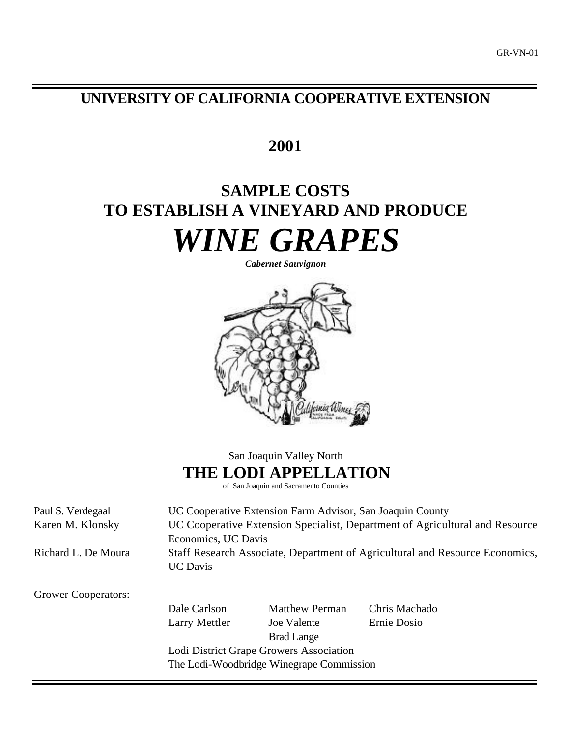## **UNIVERSITY OF CALIFORNIA COOPERATIVE EXTENSION**

# **2001**

# **SAMPLE COSTS TO ESTABLISH A VINEYARD AND PRODUCE** *WINE GRAPES*

*Cabernet Sauvignon*



San Joaquin Valley North **THE LODI APPELLATION**

of San Joaquin and Sacramento Counties

Paul S. Verdegaal UC Cooperative Extension Farm Advisor, San Joaquin County Karen M. Klonsky UC Cooperative Extension Specialist, Department of Agricultural and Resource Economics, UC Davis Richard L. De Moura Staff Research Associate, Department of Agricultural and Resource Economics, UC Davis Grower Cooperators: Dale Carlson Matthew Perman Chris Machado Larry Mettler Joe Valente Ernie Dosio Brad Lange Lodi District Grape Growers Association The Lodi-Woodbridge Winegrape Commission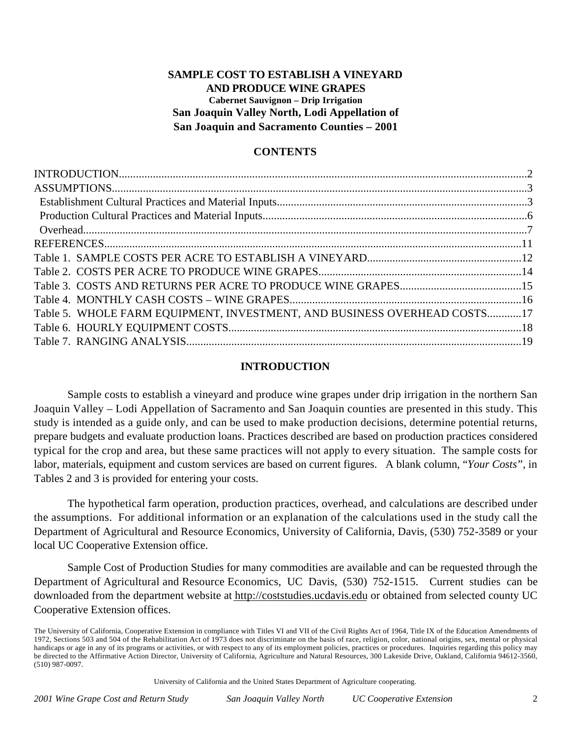## **SAMPLE COST TO ESTABLISH A VINEYARD AND PRODUCE WINE GRAPES Cabernet Sauvignon – Drip Irrigation San Joaquin Valley North, Lodi Appellation of San Joaquin and Sacramento Counties – 2001**

## **CONTENTS**

| Table 5. WHOLE FARM EQUIPMENT, INVESTMENT, AND BUSINESS OVERHEAD COSTS17 |  |
|--------------------------------------------------------------------------|--|
|                                                                          |  |
|                                                                          |  |
|                                                                          |  |

## **INTRODUCTION**

Sample costs to establish a vineyard and produce wine grapes under drip irrigation in the northern San Joaquin Valley – Lodi Appellation of Sacramento and San Joaquin counties are presented in this study. This study is intended as a guide only, and can be used to make production decisions, determine potential returns, prepare budgets and evaluate production loans. Practices described are based on production practices considered typical for the crop and area, but these same practices will not apply to every situation. The sample costs for labor, materials, equipment and custom services are based on current figures. A blank column, "*Your Costs*", in Tables 2 and 3 is provided for entering your costs.

The hypothetical farm operation, production practices, overhead, and calculations are described under the assumptions. For additional information or an explanation of the calculations used in the study call the Department of Agricultural and Resource Economics, University of California, Davis, (530) 752-3589 or your local UC Cooperative Extension office.

Sample Cost of Production Studies for many commodities are available and can be requested through the Department of Agricultural and Resource Economics, UC Davis, (530) 752-1515. Current studies can be downloaded from the department website at http://coststudies.ucdavis.edu or obtained from selected county UC Cooperative Extension offices.

University of California and the United States Department of Agriculture cooperating.

The University of California, Cooperative Extension in compliance with Titles VI and VII of the Civil Rights Act of 1964, Title IX of the Education Amendments of 1972, Sections 503 and 504 of the Rehabilitation Act of 1973 does not discriminate on the basis of race, religion, color, national origins, sex, mental or physical handicaps or age in any of its programs or activities, or with respect to any of its employment policies, practices or procedures. Inquiries regarding this policy may be directed to the Affirmative Action Director, University of California, Agriculture and Natural Resources, 300 Lakeside Drive, Oakland, California 94612-3560, (510) 987-0097.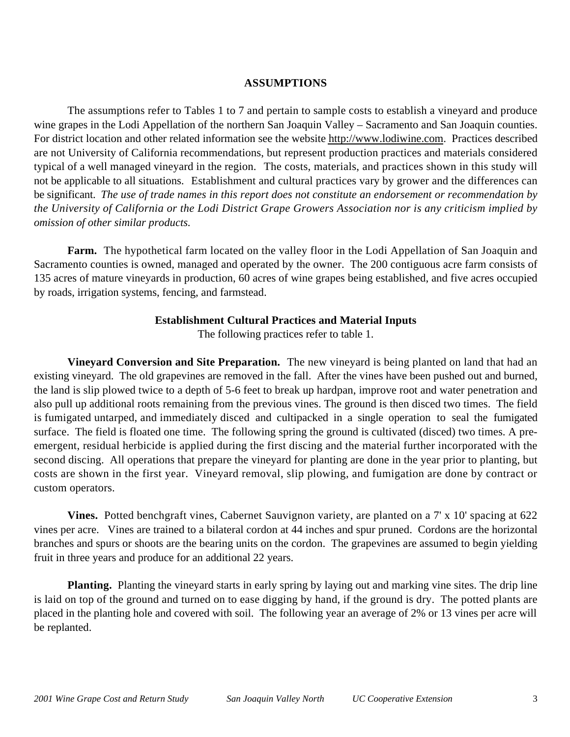## **ASSUMPTIONS**

The assumptions refer to Tables 1 to 7 and pertain to sample costs to establish a vineyard and produce wine grapes in the Lodi Appellation of the northern San Joaquin Valley – Sacramento and San Joaquin counties. For district location and other related information see the website http://www.lodiwine.com. Practices described are not University of California recommendations, but represent production practices and materials considered typical of a well managed vineyard in the region. The costs, materials, and practices shown in this study will not be applicable to all situations.Establishment and cultural practices vary by grower and the differences can be significant. *The use of trade names in this report does not constitute an endorsement or recommendation by the University of California or the Lodi District Grape Growers Association nor is any criticism implied by omission of other similar products.*

**Farm.** The hypothetical farm located on the valley floor in the Lodi Appellation of San Joaquin and Sacramento counties is owned, managed and operated by the owner. The 200 contiguous acre farm consists of 135 acres of mature vineyards in production, 60 acres of wine grapes being established, and five acres occupied by roads, irrigation systems, fencing, and farmstead.

## **Establishment Cultural Practices and Material Inputs**

The following practices refer to table 1.

**Vineyard Conversion and Site Preparation.** The new vineyard is being planted on land that had an existing vineyard. The old grapevines are removed in the fall. After the vines have been pushed out and burned, the land is slip plowed twice to a depth of 5-6 feet to break up hardpan, improve root and water penetration and also pull up additional roots remaining from the previous vines. The ground is then disced two times. The field is fumigated untarped, and immediately disced and cultipacked in a single operation to seal the fumigated surface. The field is floated one time. The following spring the ground is cultivated (disced) two times. A preemergent, residual herbicide is applied during the first discing and the material further incorporated with the second discing. All operations that prepare the vineyard for planting are done in the year prior to planting, but costs are shown in the first year. Vineyard removal, slip plowing, and fumigation are done by contract or custom operators.

**Vines.** Potted benchgraft vines, Cabernet Sauvignon variety, are planted on a 7' x 10' spacing at 622 vines per acre. Vines are trained to a bilateral cordon at 44 inches and spur pruned. Cordons are the horizontal branches and spurs or shoots are the bearing units on the cordon. The grapevines are assumed to begin yielding fruit in three years and produce for an additional 22 years.

**Planting.** Planting the vineyard starts in early spring by laying out and marking vine sites. The drip line is laid on top of the ground and turned on to ease digging by hand, if the ground is dry. The potted plants are placed in the planting hole and covered with soil. The following year an average of 2% or 13 vines per acre will be replanted.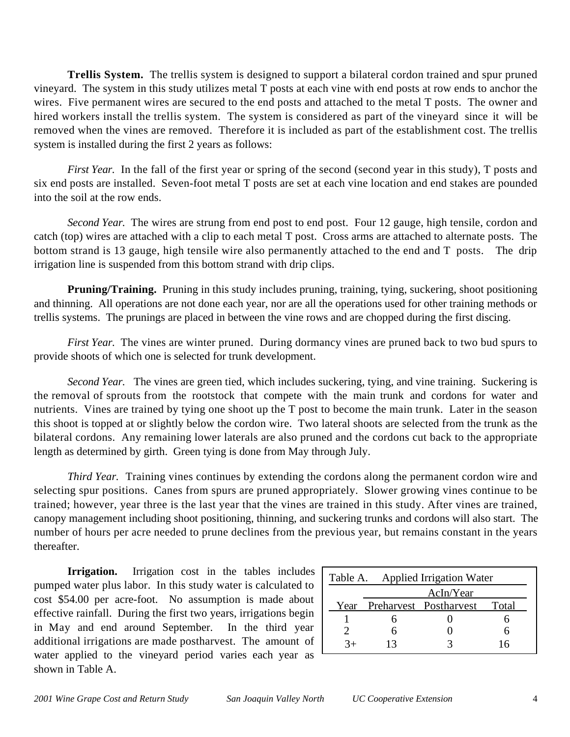**Trellis System.** The trellis system is designed to support a bilateral cordon trained and spur pruned vineyard. The system in this study utilizes metal T posts at each vine with end posts at row ends to anchor the wires. Five permanent wires are secured to the end posts and attached to the metal T posts. The owner and hired workers install the trellis system. The system is considered as part of the vineyard since it will be removed when the vines are removed. Therefore it is included as part of the establishment cost. The trellis system is installed during the first 2 years as follows:

*First Year.* In the fall of the first year or spring of the second (second year in this study), T posts and six end posts are installed. Seven-foot metal T posts are set at each vine location and end stakes are pounded into the soil at the row ends.

*Second Year.* The wires are strung from end post to end post. Four 12 gauge, high tensile, cordon and catch (top) wires are attached with a clip to each metal T post. Cross arms are attached to alternate posts. The bottom strand is 13 gauge, high tensile wire also permanently attached to the end and T posts. The drip irrigation line is suspended from this bottom strand with drip clips.

**Pruning/Training.** Pruning in this study includes pruning, training, tying, suckering, shoot positioning and thinning. All operations are not done each year, nor are all the operations used for other training methods or trellis systems. The prunings are placed in between the vine rows and are chopped during the first discing.

*First Year.* The vines are winter pruned. During dormancy vines are pruned back to two bud spurs to provide shoots of which one is selected for trunk development.

*Second Year.* The vines are green tied, which includes suckering, tying, and vine training. Suckering is the removal of sprouts from the rootstock that compete with the main trunk and cordons for water and nutrients. Vines are trained by tying one shoot up the T post to become the main trunk. Later in the season this shoot is topped at or slightly below the cordon wire. Two lateral shoots are selected from the trunk as the bilateral cordons. Any remaining lower laterals are also pruned and the cordons cut back to the appropriate length as determined by girth. Green tying is done from May through July.

*Third Year.* Training vines continues by extending the cordons along the permanent cordon wire and selecting spur positions. Canes from spurs are pruned appropriately. Slower growing vines continue to be trained; however, year three is the last year that the vines are trained in this study. After vines are trained, canopy management including shoot positioning, thinning, and suckering trunks and cordons will also start. The number of hours per acre needed to prune declines from the previous year, but remains constant in the years thereafter.

**Irrigation.** Irrigation cost in the tables includes pumped water plus labor. In this study water is calculated to cost \$54.00 per acre-foot. No assumption is made about effective rainfall. During the first two years, irrigations begin in May and end around September. In the third year additional irrigations are made postharvest. The amount of water applied to the vineyard period varies each year as shown in Table A.

| Table A. Applied Irrigation Water |  |                        |       |  |  |  |  |  |
|-----------------------------------|--|------------------------|-------|--|--|--|--|--|
| AcIn/Year                         |  |                        |       |  |  |  |  |  |
| Year                              |  | Preharvest Postharvest | Total |  |  |  |  |  |
|                                   |  |                        |       |  |  |  |  |  |
|                                   |  |                        |       |  |  |  |  |  |
|                                   |  |                        |       |  |  |  |  |  |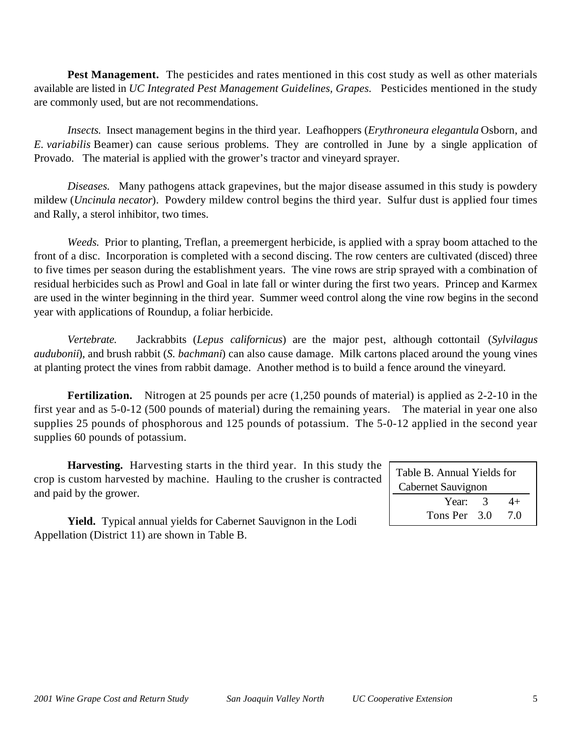Pest Management. The pesticides and rates mentioned in this cost study as well as other materials available are listed in *UC Integrated Pest Management Guidelines, Grapes.* Pesticides mentioned in the study are commonly used, but are not recommendations.

*Insects.* Insect management begins in the third year. Leafhoppers (*Erythroneura elegantula* Osborn, and *E. variabilis* Beamer) can cause serious problems. They are controlled in June by a single application of Provado. The material is applied with the grower's tractor and vineyard sprayer.

*Diseases.* Many pathogens attack grapevines, but the major disease assumed in this study is powdery mildew (*Uncinula necator*). Powdery mildew control begins the third year. Sulfur dust is applied four times and Rally, a sterol inhibitor, two times.

*Weeds.* Prior to planting, Treflan, a preemergent herbicide, is applied with a spray boom attached to the front of a disc. Incorporation is completed with a second discing. The row centers are cultivated (disced) three to five times per season during the establishment years. The vine rows are strip sprayed with a combination of residual herbicides such as Prowl and Goal in late fall or winter during the first two years. Princep and Karmex are used in the winter beginning in the third year. Summer weed control along the vine row begins in the second year with applications of Roundup, a foliar herbicide.

*Vertebrate.* Jackrabbits (*Lepus californicus*) are the major pest, although cottontail (*Sylvilagus audubonii*), and brush rabbit (*S. bachmani*) can also cause damage. Milk cartons placed around the young vines at planting protect the vines from rabbit damage. Another method is to build a fence around the vineyard.

**Fertilization.** Nitrogen at 25 pounds per acre (1,250 pounds of material) is applied as 2-2-10 in the first year and as 5-0-12 (500 pounds of material) during the remaining years. The material in year one also supplies 25 pounds of phosphorous and 125 pounds of potassium. The 5-0-12 applied in the second year supplies 60 pounds of potassium.

**Harvesting.** Harvesting starts in the third year. In this study the crop is custom harvested by machine. Hauling to the crusher is contracted and paid by the grower.

| Table B. Annual Yields for<br>Cabernet Sauvignon |  |     |  |  |  |  |  |
|--------------------------------------------------|--|-----|--|--|--|--|--|
| Year: 3                                          |  | 4+  |  |  |  |  |  |
| Tons Per 3.0                                     |  | 7.0 |  |  |  |  |  |

**Yield.** Typical annual yields for Cabernet Sauvignon in the Lodi Appellation (District 11) are shown in Table B.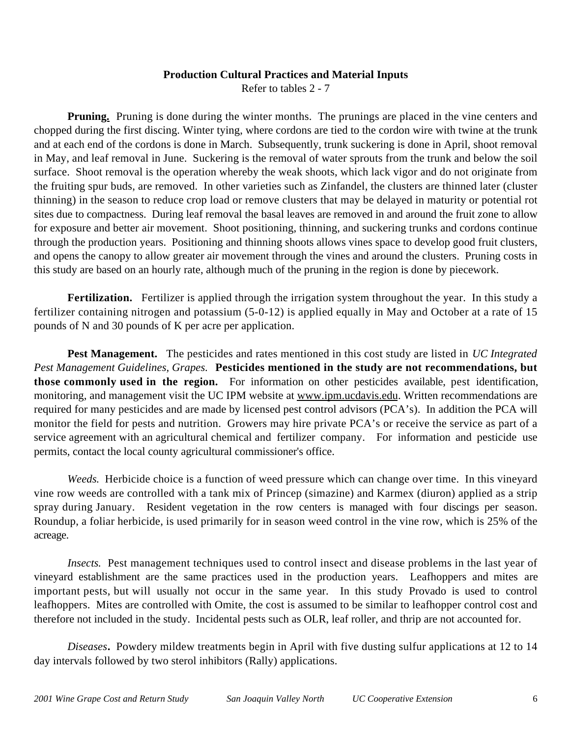## **Production Cultural Practices and Material Inputs** Refer to tables 2 - 7

**Pruning.** Pruning is done during the winter months. The prunings are placed in the vine centers and chopped during the first discing. Winter tying, where cordons are tied to the cordon wire with twine at the trunk and at each end of the cordons is done in March. Subsequently, trunk suckering is done in April, shoot removal in May, and leaf removal in June. Suckering is the removal of water sprouts from the trunk and below the soil surface. Shoot removal is the operation whereby the weak shoots, which lack vigor and do not originate from the fruiting spur buds, are removed. In other varieties such as Zinfandel, the clusters are thinned later (cluster thinning) in the season to reduce crop load or remove clusters that may be delayed in maturity or potential rot sites due to compactness. During leaf removal the basal leaves are removed in and around the fruit zone to allow for exposure and better air movement. Shoot positioning, thinning, and suckering trunks and cordons continue through the production years. Positioning and thinning shoots allows vines space to develop good fruit clusters, and opens the canopy to allow greater air movement through the vines and around the clusters. Pruning costs in this study are based on an hourly rate, although much of the pruning in the region is done by piecework.

**Fertilization.** Fertilizer is applied through the irrigation system throughout the year. In this study a fertilizer containing nitrogen and potassium (5-0-12) is applied equally in May and October at a rate of 15 pounds of N and 30 pounds of K per acre per application.

**Pest Management.** The pesticides and rates mentioned in this cost study are listed in *UC Integrated Pest Management Guidelines, Grapes.* **Pesticides mentioned in the study are not recommendations, but those commonly used in the region.** For information on other pesticides available, pest identification, monitoring, and management visit the UC IPM website at www.ipm.ucdavis.edu. Written recommendations are required for many pesticides and are made by licensed pest control advisors (PCA's). In addition the PCA will monitor the field for pests and nutrition. Growers may hire private PCA's or receive the service as part of a service agreement with an agricultural chemical and fertilizer company. For information and pesticide use permits, contact the local county agricultural commissioner's office.

*Weeds.* Herbicide choice is a function of weed pressure which can change over time. In this vineyard vine row weeds are controlled with a tank mix of Princep (simazine) and Karmex (diuron) applied as a strip spray during January. Resident vegetation in the row centers is managed with four discings per season. Roundup, a foliar herbicide, is used primarily for in season weed control in the vine row, which is 25% of the acreage.

*Insects.* Pest management techniques used to control insect and disease problems in the last year of vineyard establishment are the same practices used in the production years. Leafhoppers and mites are important pests, but will usually not occur in the same year. In this study Provado is used to control leafhoppers. Mites are controlled with Omite, the cost is assumed to be similar to leafhopper control cost and therefore not included in the study. Incidental pests such as OLR, leaf roller, and thrip are not accounted for.

*Diseases***.** Powdery mildew treatments begin in April with five dusting sulfur applications at 12 to 14 day intervals followed by two sterol inhibitors (Rally) applications.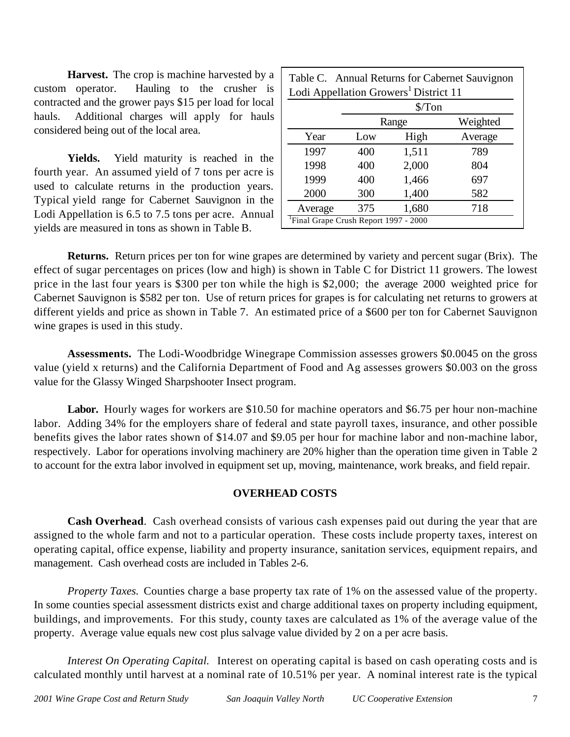**Harvest.** The crop is machine harvested by a custom operator. Hauling to the crusher is contracted and the grower pays \$15 per load for local hauls. Additional charges will apply for hauls considered being out of the local area.

**Yields.** Yield maturity is reached in the fourth year. An assumed yield of 7 tons per acre is used to calculate returns in the production years. Typical yield range for Cabernet Sauvignon in the Lodi Appellation is 6.5 to 7.5 tons per acre. Annual yields are measured in tons as shown in Table B.

| Table C. Annual Returns for Cabernet Sauvignon    |
|---------------------------------------------------|
| Lodi Appellation Growers <sup>1</sup> District 11 |

|         | \$/Ton                                            |       |          |  |  |  |  |  |  |  |
|---------|---------------------------------------------------|-------|----------|--|--|--|--|--|--|--|
|         |                                                   | Range | Weighted |  |  |  |  |  |  |  |
| Year    | Low                                               | High  | Average  |  |  |  |  |  |  |  |
| 1997    | 400                                               | 1,511 | 789      |  |  |  |  |  |  |  |
| 1998    | 400                                               | 2,000 | 804      |  |  |  |  |  |  |  |
| 1999    | 400                                               | 1,466 | 697      |  |  |  |  |  |  |  |
| 2000    | 300                                               | 1,400 | 582      |  |  |  |  |  |  |  |
| Average | 375                                               | 1,680 | 718      |  |  |  |  |  |  |  |
|         | <sup>1</sup> Final Grape Crush Report 1997 - 2000 |       |          |  |  |  |  |  |  |  |

**Returns.** Return prices per ton for wine grapes are determined by variety and percent sugar (Brix). The effect of sugar percentages on prices (low and high) is shown in Table C for District 11 growers. The lowest price in the last four years is \$300 per ton while the high is \$2,000; the average 2000 weighted price for Cabernet Sauvignon is \$582 per ton. Use of return prices for grapes is for calculating net returns to growers at different yields and price as shown in Table 7. An estimated price of a \$600 per ton for Cabernet Sauvignon wine grapes is used in this study.

**Assessments.** The Lodi-Woodbridge Winegrape Commission assesses growers \$0.0045 on the gross value (yield x returns) and the California Department of Food and Ag assesses growers \$0.003 on the gross value for the Glassy Winged Sharpshooter Insect program.

**Labor.** Hourly wages for workers are \$10.50 for machine operators and \$6.75 per hour non-machine labor. Adding 34% for the employers share of federal and state payroll taxes, insurance, and other possible benefits gives the labor rates shown of \$14.07 and \$9.05 per hour for machine labor and non-machine labor, respectively. Labor for operations involving machinery are 20% higher than the operation time given in Table 2 to account for the extra labor involved in equipment set up, moving, maintenance, work breaks, and field repair.

## **OVERHEAD COSTS**

**Cash Overhead**. Cash overhead consists of various cash expenses paid out during the year that are assigned to the whole farm and not to a particular operation. These costs include property taxes, interest on operating capital, office expense, liability and property insurance, sanitation services, equipment repairs, and management. Cash overhead costs are included in Tables 2-6.

*Property Taxes.* Counties charge a base property tax rate of 1% on the assessed value of the property. In some counties special assessment districts exist and charge additional taxes on property including equipment, buildings, and improvements. For this study, county taxes are calculated as 1% of the average value of the property. Average value equals new cost plus salvage value divided by 2 on a per acre basis.

*Interest On Operating Capital.* Interest on operating capital is based on cash operating costs and is calculated monthly until harvest at a nominal rate of 10.51% per year. A nominal interest rate is the typical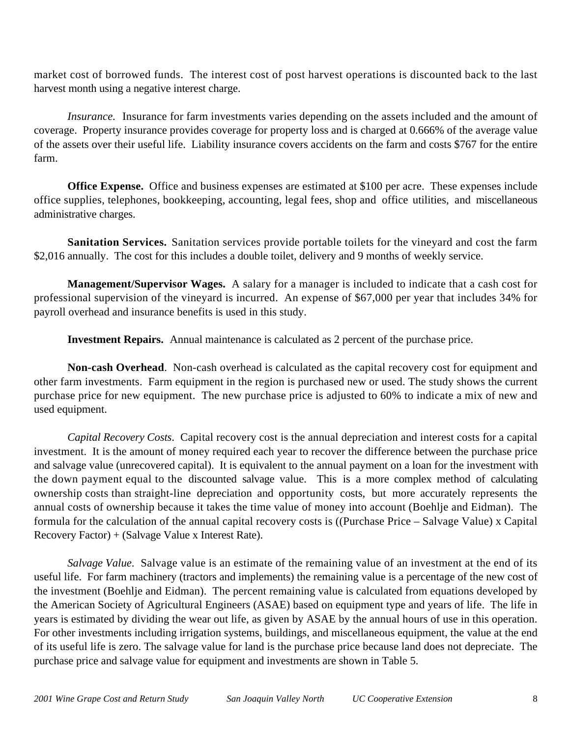market cost of borrowed funds. The interest cost of post harvest operations is discounted back to the last harvest month using a negative interest charge.

*Insurance.* Insurance for farm investments varies depending on the assets included and the amount of coverage. Property insurance provides coverage for property loss and is charged at 0.666% of the average value of the assets over their useful life. Liability insurance covers accidents on the farm and costs \$767 for the entire farm.

**Office Expense.**Office and business expenses are estimated at \$100 per acre. These expenses include office supplies, telephones, bookkeeping, accounting, legal fees, shop and office utilities, and miscellaneous administrative charges.

**Sanitation Services.** Sanitation services provide portable toilets for the vineyard and cost the farm \$2,016 annually. The cost for this includes a double toilet, delivery and 9 months of weekly service.

**Management/Supervisor Wages.** A salary for a manager is included to indicate that a cash cost for professional supervision of the vineyard is incurred. An expense of \$67,000 per year that includes 34% for payroll overhead and insurance benefits is used in this study.

**Investment Repairs.** Annual maintenance is calculated as 2 percent of the purchase price.

**Non-cash Overhead**. Non-cash overhead is calculated as the capital recovery cost for equipment and other farm investments. Farm equipment in the region is purchased new or used. The study shows the current purchase price for new equipment. The new purchase price is adjusted to 60% to indicate a mix of new and used equipment.

*Capital Recovery Costs*. Capital recovery cost is the annual depreciation and interest costs for a capital investment. It is the amount of money required each year to recover the difference between the purchase price and salvage value (unrecovered capital). It is equivalent to the annual payment on a loan for the investment with the down payment equal to the discounted salvage value. This is a more complex method of calculating ownership costs than straight-line depreciation and opportunity costs, but more accurately represents the annual costs of ownership because it takes the time value of money into account (Boehlje and Eidman). The formula for the calculation of the annual capital recovery costs is ((Purchase Price – Salvage Value) x Capital Recovery Factor) + (Salvage Value x Interest Rate).

*Salvage Value*. Salvage value is an estimate of the remaining value of an investment at the end of its useful life. For farm machinery (tractors and implements) the remaining value is a percentage of the new cost of the investment (Boehlje and Eidman). The percent remaining value is calculated from equations developed by the American Society of Agricultural Engineers (ASAE) based on equipment type and years of life. The life in years is estimated by dividing the wear out life, as given by ASAE by the annual hours of use in this operation. For other investments including irrigation systems, buildings, and miscellaneous equipment, the value at the end of its useful life is zero. The salvage value for land is the purchase price because land does not depreciate. The purchase price and salvage value for equipment and investments are shown in Table 5.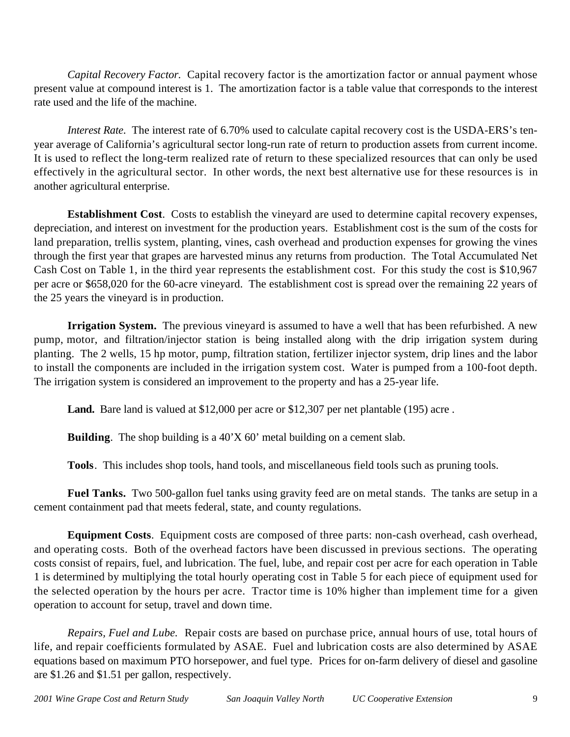*Capital Recovery Factor*. Capital recovery factor is the amortization factor or annual payment whose present value at compound interest is 1. The amortization factor is a table value that corresponds to the interest rate used and the life of the machine.

*Interest Rate*. The interest rate of 6.70% used to calculate capital recovery cost is the USDA-ERS's tenyear average of California's agricultural sector long-run rate of return to production assets from current income. It is used to reflect the long-term realized rate of return to these specialized resources that can only be used effectively in the agricultural sector. In other words, the next best alternative use for these resources is in another agricultural enterprise.

**Establishment Cost**. Costs to establish the vineyard are used to determine capital recovery expenses, depreciation, and interest on investment for the production years. Establishment cost is the sum of the costs for land preparation, trellis system, planting, vines, cash overhead and production expenses for growing the vines through the first year that grapes are harvested minus any returns from production. The Total Accumulated Net Cash Cost on Table 1, in the third year represents the establishment cost. For this study the cost is \$10,967 per acre or \$658,020 for the 60-acre vineyard. The establishment cost is spread over the remaining 22 years of the 25 years the vineyard is in production.

**Irrigation System.** The previous vineyard is assumed to have a well that has been refurbished. A new pump, motor, and filtration/injector station is being installed along with the drip irrigation system during planting. The 2 wells, 15 hp motor, pump, filtration station, fertilizer injector system, drip lines and the labor to install the components are included in the irrigation system cost. Water is pumped from a 100-foot depth. The irrigation system is considered an improvement to the property and has a 25-year life.

Land. Bare land is valued at \$12,000 per acre or \$12,307 per net plantable (195) acre.

**Building**. The shop building is a 40'X 60' metal building on a cement slab.

**Tools**. This includes shop tools, hand tools, and miscellaneous field tools such as pruning tools.

**Fuel Tanks.** Two 500-gallon fuel tanks using gravity feed are on metal stands. The tanks are setup in a cement containment pad that meets federal, state, and county regulations.

**Equipment Costs**. Equipment costs are composed of three parts: non-cash overhead, cash overhead, and operating costs. Both of the overhead factors have been discussed in previous sections. The operating costs consist of repairs, fuel, and lubrication. The fuel, lube, and repair cost per acre for each operation in Table 1 is determined by multiplying the total hourly operating cost in Table 5 for each piece of equipment used for the selected operation by the hours per acre. Tractor time is 10% higher than implement time for a given operation to account for setup, travel and down time.

*Repairs, Fuel and Lube.* Repair costs are based on purchase price, annual hours of use, total hours of life, and repair coefficients formulated by ASAE. Fuel and lubrication costs are also determined by ASAE equations based on maximum PTO horsepower, and fuel type. Prices for on-farm delivery of diesel and gasoline are \$1.26 and \$1.51 per gallon, respectively.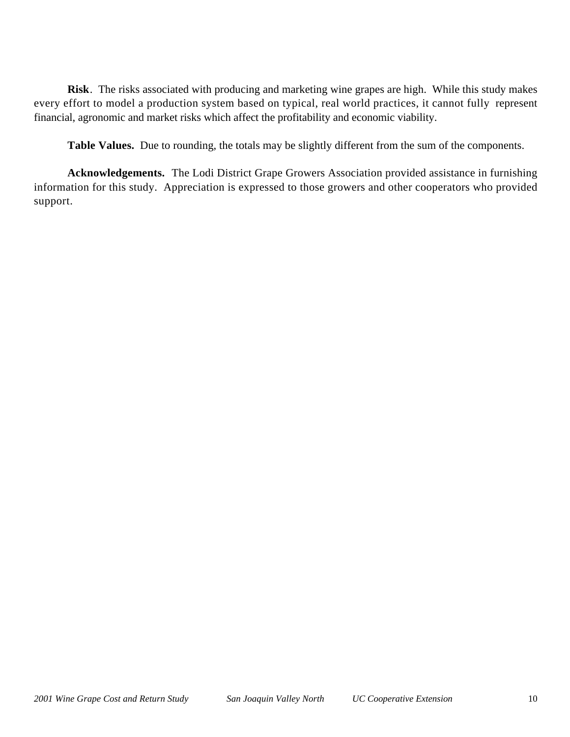**Risk**. The risks associated with producing and marketing wine grapes are high. While this study makes every effort to model a production system based on typical, real world practices, it cannot fully represent financial, agronomic and market risks which affect the profitability and economic viability.

**Table Values.** Due to rounding, the totals may be slightly different from the sum of the components.

**Acknowledgements.** The Lodi District Grape Growers Association provided assistance in furnishing information for this study. Appreciation is expressed to those growers and other cooperators who provided support.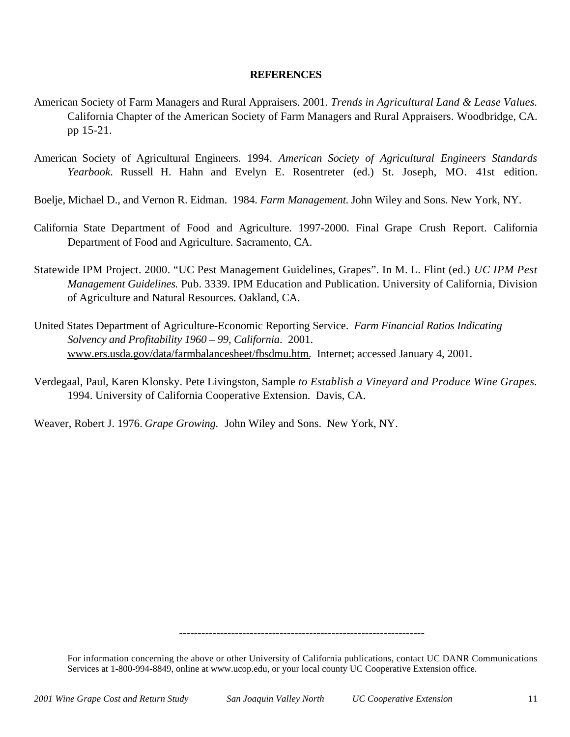## **REFERENCES**

- American Society of Farm Managers and Rural Appraisers. 2001. *Trends in Agricultural Land & Lease Values.* California Chapter of the American Society of Farm Managers and Rural Appraisers. Woodbridge, CA. pp 15-21.
- American Society of Agricultural Engineers. 1994. *American Society of Agricultural Engineers Standards Yearbook*. Russell H. Hahn and Evelyn E. Rosentreter (ed.) St. Joseph, MO. 41st edition.
- Boelje, Michael D., and Vernon R. Eidman. 1984. *Farm Management*. John Wiley and Sons. New York, NY.
- California State Department of Food and Agriculture. 1997-2000. Final Grape Crush Report. California Department of Food and Agriculture. Sacramento, CA.
- Statewide IPM Project. 2000. "UC Pest Management Guidelines, Grapes". In M. L. Flint (ed.) *UC IPM Pest Management Guidelines.* Pub. 3339. IPM Education and Publication. University of California, Division of Agriculture and Natural Resources. Oakland, CA.
- United States Department of Agriculture-Economic Reporting Service. *Farm Financial Ratios Indicating Solvency and Profitability 1960 – 99, California*. 2001. www.ers.usda.gov/data/farmbalancesheet/fbsdmu.htm. Internet; accessed January 4, 2001.
- Verdegaal, Paul, Karen Klonsky. Pete Livingston, Sample *to Establish a Vineyard and Produce Wine Grapes.* 1994. University of California Cooperative Extension. Davis, CA.

Weaver, Robert J. 1976. *Grape Growing.* John Wiley and Sons. New York, NY.

------------------------------------------------------------------

For information concerning the above or other University of California publications, contact UC DANR Communications Services at 1-800-994-8849, online at www.ucop.edu, or your local county UC Cooperative Extension office.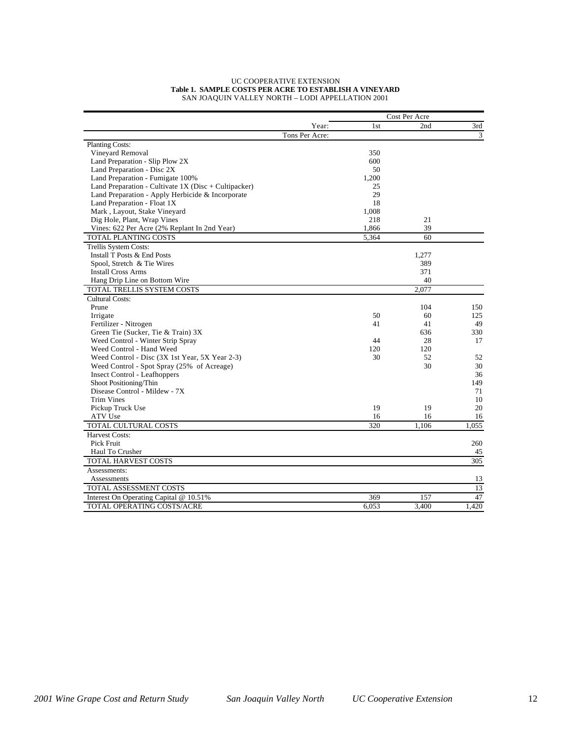#### UC COOPERATIVE EXTENSION **Table 1. SAMPLE COSTS PER ACRE TO ESTABLISH A VINEYARD** SAN JOAQUIN VALLEY NORTH – LODI APPELLATION 2001

|                                                        |                |       | Cost Per Acre |       |
|--------------------------------------------------------|----------------|-------|---------------|-------|
|                                                        | Year:          | 1st   | 2nd           | 3rd   |
|                                                        | Tons Per Acre: |       |               | 3     |
| <b>Planting Costs:</b>                                 |                |       |               |       |
| Vineyard Removal                                       |                | 350   |               |       |
| Land Preparation - Slip Plow 2X                        |                | 600   |               |       |
| Land Preparation - Disc 2X                             |                | 50    |               |       |
| Land Preparation - Fumigate 100%                       |                | 1,200 |               |       |
| Land Preparation - Cultivate $1X$ (Disc + Cultipacker) |                | 25    |               |       |
| Land Preparation - Apply Herbicide & Incorporate       |                | 29    |               |       |
| Land Preparation - Float 1X                            |                | 18    |               |       |
| Mark, Layout, Stake Vineyard                           |                | 1,008 |               |       |
| Dig Hole, Plant, Wrap Vines                            |                | 218   | 21            |       |
| Vines: 622 Per Acre (2% Replant In 2nd Year)           |                | 1,866 | 39            |       |
| TOTAL PLANTING COSTS                                   |                | 5,364 | 60            |       |
| Trellis System Costs:                                  |                |       |               |       |
| Install T Posts & End Posts                            |                |       | 1,277         |       |
| Spool, Stretch & Tie Wires                             |                |       | 389           |       |
| <b>Install Cross Arms</b>                              |                |       | 371           |       |
| Hang Drip Line on Bottom Wire                          |                |       | 40            |       |
| TOTAL TRELLIS SYSTEM COSTS                             |                |       | 2,077         |       |
| <b>Cultural Costs:</b>                                 |                |       |               |       |
| Prune                                                  |                |       | 104           | 150   |
| Irrigate                                               |                | 50    | 60            | 125   |
| Fertilizer - Nitrogen                                  |                | 41    | 41            | 49    |
| Green Tie (Sucker, Tie & Train) 3X                     |                |       | 636           | 330   |
| Weed Control - Winter Strip Spray                      |                | 44    | 28            | 17    |
| Weed Control - Hand Weed                               |                | 120   | 120           |       |
| Weed Control - Disc (3X 1st Year, 5X Year 2-3)         |                | 30    | 52            | 52    |
| Weed Control - Spot Spray (25% of Acreage)             |                |       | 30            | 30    |
| <b>Insect Control</b> - Leafhoppers                    |                |       |               | 36    |
| Shoot Positioning/Thin                                 |                |       |               | 149   |
| Disease Control - Mildew - 7X                          |                |       |               | 71    |
| <b>Trim Vines</b>                                      |                |       |               | 10    |
| Pickup Truck Use                                       |                | 19    | 19            | 20    |
| ATV Use                                                |                | 16    | 16            | 16    |
| TOTAL CULTURAL COSTS                                   |                | 320   | 1.106         | 1.055 |
| <b>Harvest Costs:</b>                                  |                |       |               |       |
| Pick Fruit                                             |                |       |               | 260   |
| Haul To Crusher                                        |                |       |               | 45    |
| <b>TOTAL HARVEST COSTS</b>                             |                |       |               | 305   |
| Assessments:                                           |                |       |               |       |
| Assessments                                            |                |       |               | 13    |
| TOTAL ASSESSMENT COSTS                                 |                |       |               | 13    |
| Interest On Operating Capital @ 10.51%                 |                | 369   | 157           | 47    |
| TOTAL OPERATING COSTS/ACRE                             |                | 6,053 | 3,400         | 1,420 |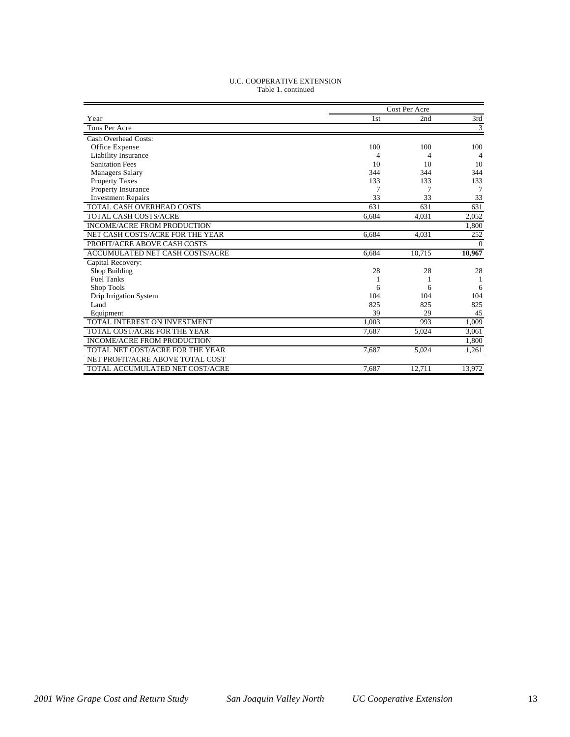| <b>U.C. COOPERATIVE EXTENSION</b> |
|-----------------------------------|
| Table 1. continued                |

|                                    | Cost Per Acre |        |          |  |  |
|------------------------------------|---------------|--------|----------|--|--|
| Year                               | 1st           | 2nd    | 3rd      |  |  |
| Tons Per Acre                      |               |        | 3        |  |  |
| Cash Overhead Costs:               |               |        |          |  |  |
| Office Expense                     | 100           | 100    | 100      |  |  |
| Liability Insurance                | 4             | 4      | 4        |  |  |
| <b>Sanitation Fees</b>             | 10            | 10     | 10       |  |  |
| <b>Managers Salary</b>             | 344           | 344    | 344      |  |  |
| <b>Property Taxes</b>              | 133           | 133    | 133      |  |  |
| Property Insurance                 |               | 7      | 7        |  |  |
| <b>Investment Repairs</b>          | 33            | 33     | 33       |  |  |
| TOTAL CASH OVERHEAD COSTS          | 631           | 631    | 631      |  |  |
| <b>TOTAL CASH COSTS/ACRE</b>       | 6.684         | 4,031  | 2,052    |  |  |
| <b>INCOME/ACRE FROM PRODUCTION</b> |               |        | 1,800    |  |  |
| NET CASH COSTS/ACRE FOR THE YEAR   | 6.684         | 4.031  | 252      |  |  |
| PROFIT/ACRE ABOVE CASH COSTS       |               |        | $\Omega$ |  |  |
| ACCUMULATED NET CASH COSTS/ACRE    | 6.684         | 10,715 | 10,967   |  |  |
| Capital Recovery:                  |               |        |          |  |  |
| Shop Building                      | 28            | 28     | 28       |  |  |
| <b>Fuel Tanks</b>                  |               |        |          |  |  |
| Shop Tools                         | 6             | 6      | 6        |  |  |
| Drip Irrigation System             | 104           | 104    | 104      |  |  |
| Land                               | 825           | 825    | 825      |  |  |
| Equipment                          | 39            | 29     | 45       |  |  |
| TOTAL INTEREST ON INVESTMENT       | 1.003         | 993    | 1,009    |  |  |
| TOTAL COST/ACRE FOR THE YEAR       | 7.687         | 5.024  | 3.061    |  |  |
| <b>INCOME/ACRE FROM PRODUCTION</b> |               |        | 1,800    |  |  |
| TOTAL NET COST/ACRE FOR THE YEAR   | 7.687         | 5.024  | 1.261    |  |  |
| NET PROFIT/ACRE ABOVE TOTAL COST   |               |        |          |  |  |
| TOTAL ACCUMULATED NET COST/ACRE    | 7,687         | 12,711 | 13,972   |  |  |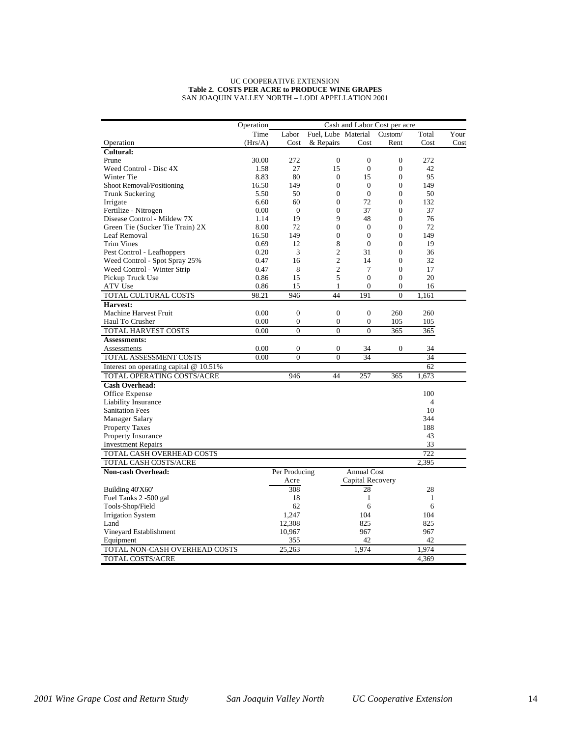#### UC COOPERATIVE EXTENSION **Table 2. COSTS PER ACRE to PRODUCE WINE GRAPES** SAN JOAQUIN VALLEY NORTH – LODI APPELLATION 2001

|                                          | Operation<br>Cash and Labor Cost per acre |                  |                     |                    |                  |                |      |
|------------------------------------------|-------------------------------------------|------------------|---------------------|--------------------|------------------|----------------|------|
|                                          | Time                                      | Labor            | Fuel, Lube Material |                    | Custom/          | Total          | Your |
| Operation                                | (Hrs/A)                                   | Cost             | & Repairs           | Cost               | Rent             | Cost           | Cost |
| Cultural:                                |                                           |                  |                     |                    |                  |                |      |
| Prune                                    | 30.00                                     | 272              | $\Omega$            | $\Omega$           | $\mathbf{0}$     | 272            |      |
| Weed Control - Disc 4X                   | 1.58                                      | 27               | 15                  | $\mathbf{0}$       | $\mathbf{0}$     | 42             |      |
| Winter Tie                               | 8.83                                      | 80               | $\mathbf{0}$        | 15                 | $\mathbf{0}$     | 95             |      |
| Shoot Removal/Positioning                | 16.50                                     | 149              | $\overline{0}$      | $\mathbf{0}$       | $\overline{0}$   | 149            |      |
| Trunk Suckering                          | 5.50                                      | 50               | $\overline{0}$      | $\mathbf{0}$       | $\overline{0}$   | 50             |      |
| Irrigate                                 | 6.60                                      | 60               | $\overline{0}$      | 72                 | $\Omega$         | 132            |      |
| Fertilize - Nitrogen                     | 0.00                                      | $\theta$         | $\overline{0}$      | 37                 | $\overline{0}$   | 37             |      |
| Disease Control - Mildew 7X              | 1.14                                      | 19               | 9                   | 48                 | $\mathbf{0}$     | 76             |      |
| Green Tie (Sucker Tie Train) 2X          | 8.00                                      | 72               | $\overline{0}$      | $\mathbf{0}$       | $\overline{0}$   | 72             |      |
| Leaf Removal                             | 16.50                                     | 149              | $\overline{0}$      | $\mathbf{0}$       | $\overline{0}$   | 149            |      |
| Trim Vines                               | 0.69                                      | 12               | 8                   | $\boldsymbol{0}$   | $\boldsymbol{0}$ | 19             |      |
| Pest Control - Leafhoppers               | 0.20                                      | 3                | $\overline{c}$      | 31                 | $\overline{0}$   | 36             |      |
| Weed Control - Spot Spray 25%            | 0.47                                      | 16               | $\overline{c}$      | 14                 | $\mathbf{0}$     | 32             |      |
| Weed Control - Winter Strip              | 0.47                                      | 8                | $\mathfrak{2}$      | 7                  | $\overline{0}$   | 17             |      |
| Pickup Truck Use                         | 0.86                                      | 15               | 5                   | $\theta$           | $\overline{0}$   | 20             |      |
| ATV Use                                  | 0.86                                      | 15               | 1                   | $\boldsymbol{0}$   | 0                | 16             |      |
| TOTAL CULTURAL COSTS                     | 98.21                                     | 946              | 44                  | 191                | $\theta$         | 1.161          |      |
| Harvest:                                 |                                           |                  |                     |                    |                  |                |      |
| Machine Harvest Fruit                    | 0.00                                      | $\overline{0}$   | $\overline{0}$      | $\overline{0}$     | 260              | 260            |      |
| Haul To Crusher                          | 0.00                                      | $\boldsymbol{0}$ | $\boldsymbol{0}$    | $\boldsymbol{0}$   | 105              | 105            |      |
| TOTAL HARVEST COSTS                      | 0.00                                      | $\overline{0}$   | $\theta$            | $\theta$           | 365              | 365            |      |
| <b>Assessments:</b>                      |                                           |                  |                     |                    |                  |                |      |
| Assessments                              | 0.00                                      | $\overline{0}$   | $\overline{0}$      | 34                 | $\mathbf{0}$     | 34             |      |
| TOTAL ASSESSMENT COSTS                   | 0.00                                      | $\overline{0}$   | $\overline{0}$      | 34                 |                  | 34             |      |
| Interest on operating capital $@10.51\%$ |                                           |                  |                     |                    |                  | 62             |      |
| TOTAL OPERATING COSTS/ACRE               |                                           | 946              | 44                  | 257                | 365              | 1,673          |      |
| <b>Cash Overhead:</b>                    |                                           |                  |                     |                    |                  |                |      |
| Office Expense                           |                                           |                  |                     |                    |                  | 100            |      |
| Liability Insurance                      |                                           |                  |                     |                    |                  | $\overline{4}$ |      |
| <b>Sanitation Fees</b>                   |                                           |                  |                     |                    |                  | 10             |      |
| Manager Salary                           |                                           |                  |                     |                    |                  | 344            |      |
| <b>Property Taxes</b>                    |                                           |                  |                     |                    |                  | 188            |      |
| <b>Property Insurance</b>                |                                           |                  |                     |                    |                  | 43             |      |
| <b>Investment Repairs</b>                |                                           |                  |                     |                    |                  | 33             |      |
| TOTAL CASH OVERHEAD COSTS                |                                           |                  |                     |                    |                  | 722            |      |
| TOTAL CASH COSTS/ACRE                    |                                           |                  |                     |                    |                  | 2,395          |      |
| Non-cash Overhead:                       |                                           | Per Producing    |                     | <b>Annual Cost</b> |                  |                |      |
|                                          |                                           | Acre             |                     | Capital Recovery   |                  |                |      |
| Building 40'X60'                         |                                           | 308              |                     | 28                 |                  | 28             |      |
| Fuel Tanks 2 -500 gal                    |                                           | 18               |                     | $\mathbf{1}$       |                  | 1              |      |
| Tools-Shop/Field                         |                                           | 62               |                     | 6                  |                  | 6              |      |
| <b>Irrigation System</b>                 |                                           | 1,247            |                     | 104                |                  | 104            |      |
| Land                                     |                                           | 12,308           |                     | 825                |                  | 825            |      |
| Vineyard Establishment                   |                                           | 10,967           |                     | 967                |                  | 967            |      |
| Equipment                                |                                           | 355              |                     | 42                 |                  | 42             |      |
| TOTAL NON-CASH OVERHEAD COSTS            |                                           | 25,263           |                     | 1.974              |                  | 1,974          |      |
| TOTAL COSTS/ACRE                         |                                           |                  |                     |                    |                  | 4,369          |      |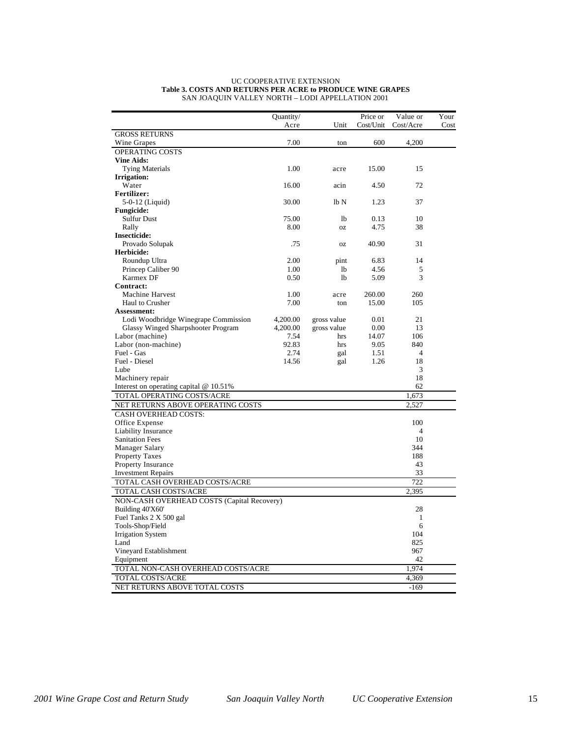|                                            | Quantity/ |             | Price or  | Value or       | Your |
|--------------------------------------------|-----------|-------------|-----------|----------------|------|
|                                            | Acre      | Unit        | Cost/Unit | Cost/Acre      | Cost |
| <b>GROSS RETURNS</b>                       |           |             |           |                |      |
| Wine Grapes                                | 7.00      | ton         | 600       | 4,200          |      |
| OPERATING COSTS                            |           |             |           |                |      |
| <b>Vine Aids:</b>                          |           |             |           |                |      |
| <b>Tying Materials</b>                     | 1.00      | acre        | 15.00     | 15             |      |
| <b>Irrigation:</b>                         |           |             |           |                |      |
| Water                                      | 16.00     | acin        | 4.50      | 72             |      |
| <b>Fertilizer:</b>                         |           |             |           |                |      |
| 5-0-12 (Liquid)                            | 30.00     | lbN         | 1.23      | 37             |      |
| <b>Fungicide:</b>                          |           |             |           |                |      |
| Sulfur Dust                                | 75.00     | 1b          | 0.13      | 10             |      |
| Rally                                      | 8.00      | <b>OZ</b>   | 4.75      | 38             |      |
| <b>Insecticide:</b>                        |           |             |           |                |      |
| Provado Solupak                            | .75       | <b>OZ</b>   | 40.90     | 31             |      |
| Herbicide:                                 |           |             |           |                |      |
| Roundup Ultra                              | 2.00      | pint        | 6.83      | 14             |      |
| Princep Caliber 90                         | 1.00      | <b>lb</b>   | 4.56      | 5              |      |
| Karmex DF                                  | 0.50      | <b>lb</b>   | 5.09      | 3              |      |
| Contract:                                  |           |             |           |                |      |
| <b>Machine Harvest</b>                     | 1.00      | acre        | 260.00    | 260            |      |
| Haul to Crusher                            | 7.00      | ton         | 15.00     | 105            |      |
| Assessment:                                |           |             |           |                |      |
| Lodi Woodbridge Winegrape Commission       | 4,200.00  | gross value | 0.01      | 21             |      |
| <b>Glassy Winged Sharpshooter Program</b>  | 4,200.00  | gross value | 0.00      | 13             |      |
| Labor (machine)                            | 7.54      | hrs         | 14.07     | 106            |      |
| Labor (non-machine)                        | 92.83     | hrs         | 9.05      | 840            |      |
| Fuel - Gas                                 | 2.74      | gal         | 1.51      | $\overline{4}$ |      |
| Fuel - Diesel                              | 14.56     | gal         | 1.26      | 18             |      |
| Lube                                       |           |             |           | 3              |      |
| Machinery repair                           |           |             |           | 18             |      |
|                                            |           |             |           | 62             |      |
| Interest on operating capital $@$ 10.51%   |           |             |           |                |      |
| TOTAL OPERATING COSTS/ACRE                 |           |             |           | 1,673          |      |
| NET RETURNS ABOVE OPERATING COSTS          |           |             |           | 2,527          |      |
| <b>CASH OVERHEAD COSTS:</b>                |           |             |           |                |      |
| Office Expense                             |           |             |           | 100            |      |
| Liability Insurance                        |           |             |           | 4              |      |
| <b>Sanitation Fees</b>                     |           |             |           | 10             |      |
| Manager Salary                             |           |             |           | 344            |      |
| <b>Property Taxes</b>                      |           |             |           | 188            |      |
| <b>Property Insurance</b>                  |           |             |           | 43             |      |
| <b>Investment Repairs</b>                  |           |             |           | 33             |      |
| TOTAL CASH OVERHEAD COSTS/ACRE             |           |             |           | 722            |      |
| TOTAL CASH COSTS/ACRE                      |           |             |           | 2,395          |      |
| NON-CASH OVERHEAD COSTS (Capital Recovery) |           |             |           |                |      |
| Building 40'X60'                           |           |             |           | 28             |      |
| Fuel Tanks 2 X 500 gal                     |           |             |           | 1              |      |
| Tools-Shop/Field                           |           |             |           | 6              |      |
| <b>Irrigation System</b>                   |           |             |           | 104            |      |
| Land                                       |           |             |           | 825            |      |
| Vineyard Establishment                     |           |             |           | 967            |      |
| Equipment                                  |           |             |           | 42             |      |
| TOTAL NON-CASH OVERHEAD COSTS/ACRE         |           |             |           | 1,974          |      |
| TOTAL COSTS/ACRE                           |           |             |           | 4,369          |      |
| NET RETURNS ABOVE TOTAL COSTS              |           |             |           | $-169$         |      |
|                                            |           |             |           |                |      |

#### UC COOPERATIVE EXTENSION **Table 3. COSTS AND RETURNS PER ACRE to PRODUCE WINE GRAPES** SAN JOAQUIN VALLEY NORTH – LODI APPELLATION 2001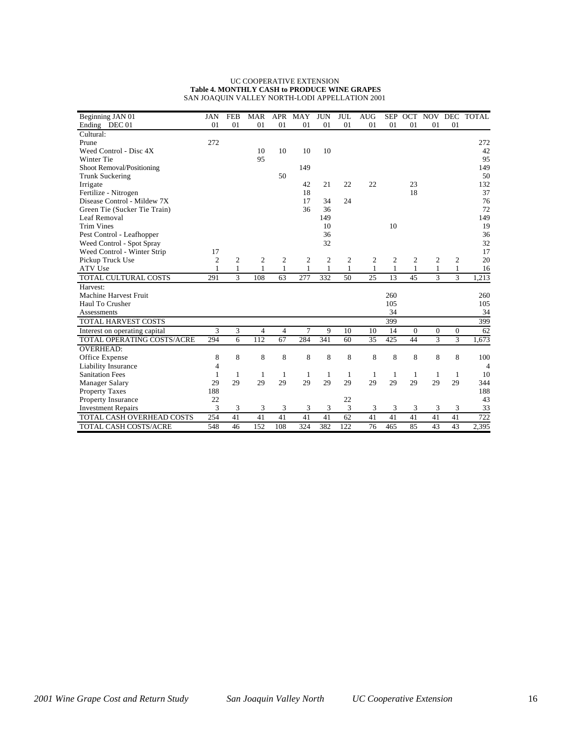#### UC COOPERATIVE EXTENSION **Table 4. MONTHLY CASH to PRODUCE WINE GRAPES** SAN JOAQUIN VALLEY NORTH-LODI APPELLATION 2001

| Beginning JAN 01              | <b>JAN</b>     | <b>FEB</b>    | <b>MAR</b> | <b>APR</b> | MAY          | <b>JUN</b>     | <b>JUL</b> | <b>AUG</b> | <b>SEP</b> | <b>OCT</b> | NOV           |                | DEC TOTAL      |
|-------------------------------|----------------|---------------|------------|------------|--------------|----------------|------------|------------|------------|------------|---------------|----------------|----------------|
| Ending DEC 01                 | 01             | 01            | 01         | 01         | 01           | 01             | 01         | 01         | 01         | 01         | 01            | 01             |                |
| Cultural:                     |                |               |            |            |              |                |            |            |            |            |               |                |                |
| Prune                         | 272            |               |            |            |              |                |            |            |            |            |               |                | 272            |
| Weed Control - Disc 4X        |                |               | 10         | 10         | 10           | 10             |            |            |            |            |               |                | 42             |
| Winter Tie                    |                |               | 95         |            |              |                |            |            |            |            |               |                | 95             |
| Shoot Removal/Positioning     |                |               |            |            | 149          |                |            |            |            |            |               |                | 149            |
| <b>Trunk Suckering</b>        |                |               |            | 50         |              |                |            |            |            |            |               |                | 50             |
| Irrigate                      |                |               |            |            | 42           | 21             | 22         | 22         |            | 23         |               |                | 132            |
| Fertilize - Nitrogen          |                |               |            |            | 18           |                |            |            |            | 18         |               |                | 37             |
| Disease Control - Mildew 7X   |                |               |            |            | 17           | 34             | 24         |            |            |            |               |                | 76             |
| Green Tie (Sucker Tie Train)  |                |               |            |            | 36           | 36             |            |            |            |            |               |                | 72             |
| Leaf Removal                  |                |               |            |            |              | 149            |            |            |            |            |               |                | 149            |
| <b>Trim Vines</b>             |                |               |            |            |              | 10             |            |            | 10         |            |               |                | 19             |
| Pest Control - Leafhopper     |                |               |            |            |              | 36             |            |            |            |            |               |                | 36             |
| Weed Control - Spot Spray     |                |               |            |            |              | 32             |            |            |            |            |               |                | 32             |
| Weed Control - Winter Strip   | 17             |               |            |            |              |                |            |            |            |            |               |                | 17             |
| Pickup Truck Use              | $\overline{c}$ | 2             | 2          | 2          | 2            | $\overline{2}$ | 2          | 2          | 2          | 2          | 2             | $\overline{c}$ | 20             |
| ATV Use                       | 1              | $\mathbf{1}$  | 1          | 1          | $\mathbf{1}$ | 1              | 1          | 1          | 1          | 1          | 1             | $\mathbf{1}$   | 16             |
| TOTAL CULTURAL COSTS          | 291            | $\mathcal{L}$ | 108        | 63         | 277          | 332            | 50         | 25         | 13         | 45         | $\mathcal{E}$ | 3              | 1,213          |
| Harvest:                      |                |               |            |            |              |                |            |            |            |            |               |                |                |
| <b>Machine Harvest Fruit</b>  |                |               |            |            |              |                |            |            | 260        |            |               |                | 260            |
| Haul To Crusher               |                |               |            |            |              |                |            |            | 105        |            |               |                | 105            |
| Assessments                   |                |               |            |            |              |                |            |            | 34         |            |               |                | 34             |
| <b>TOTAL HARVEST COSTS</b>    |                |               |            |            |              |                |            |            | 399        |            |               |                | 399            |
| Interest on operating capital | 3              | 3             | 4          | 4          | 7            | 9              | 10         | 10         | 14         | $\Omega$   | $\theta$      | $\theta$       | 62             |
| TOTAL OPERATING COSTS/ACRE    | 294            | 6             | 112        | 67         | 284          | 341            | 60         | 35         | 425        | 44         | 3             | 3              | 1,673          |
| <b>OVERHEAD:</b>              |                |               |            |            |              |                |            |            |            |            |               |                |                |
| Office Expense                | 8              | 8             | 8          | 8          | 8            | 8              | 8          | 8          | 8          | 8          | 8             | 8              | 100            |
| Liability Insurance           | 4              |               |            |            |              |                |            |            |            |            |               |                | $\overline{4}$ |
| <b>Sanitation Fees</b>        | 1              | 1             | 1          | 1          | -1           | 1              | 1          | -1         | 1          | -1         | -1            | 1              | 10             |
| <b>Manager Salary</b>         | 29             | 29            | 29         | 29         | 29           | 29             | 29         | 29         | 29         | 29         | 29            | 29             | 344            |
| <b>Property Taxes</b>         | 188            |               |            |            |              |                |            |            |            |            |               |                | 188            |
| Property Insurance            | 22             |               |            |            |              |                | 22         |            |            |            |               |                | 43             |
| <b>Investment Repairs</b>     | 3              | 3             | 3          | 3          | 3            | 3              | 3          | 3          | 3          | 3          | 3             | 3              | 33             |
| TOTAL CASH OVERHEAD COSTS     | 254            | 41            | 41         | 41         | 41           | 41             | 62         | 41         | 41         | 41         | 41            | 41             | 722            |
| TOTAL CASH COSTS/ACRE         | 548            | 46            | 152        | 108        | 324          | 382            | 122        | 76         | 465        | 85         | 43            | 43             | 2,395          |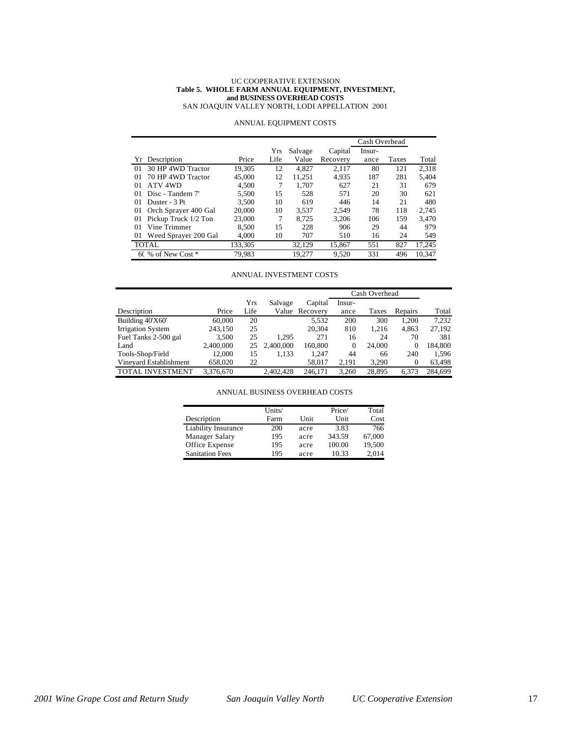#### UC COOPERATIVE EXTENSION **Table 5. WHOLE FARM ANNUAL EQUIPMENT, INVESTMENT, and BUSINESS OVERHEAD COSTS**

SAN JOAQUIN VALLEY NORTH, LODI APPELLATION 2001

|    |                      |         |      |         |          | Cash Overhead |       |        |
|----|----------------------|---------|------|---------|----------|---------------|-------|--------|
|    |                      |         | Yrs  | Salvage | Capital  | Insur-        |       |        |
|    | Yr Description       | Price   | Life | Value   | Recovery | ance          | Taxes | Total  |
| 01 | 30 HP 4WD Tractor    | 19.305  | 12   | 4.827   | 2.117    | 80            | 121   | 2.318  |
| 01 | 70 HP 4WD Tractor    | 45,000  | 12   | 11.251  | 4.935    | 187           | 281   | 5.404  |
| 01 | ATV 4WD              | 4.500   |      | 1.707   | 627      | 21            | 31    | 679    |
| 01 | Disc - Tandem 7'     | 5,500   | 15   | 528     | 571      | 20            | 30    | 621    |
| 01 | Duster - 3 Pt        | 3.500   | 10   | 619     | 446      | 14            | 21    | 480    |
| 01 | Orch Sprayer 400 Gal | 20,000  | 10   | 3.537   | 2.549    | 78            | 118   | 2.745  |
| 01 | Pickup Truck 1/2 Ton | 23,000  | 7    | 8.725   | 3.206    | 106           | 159   | 3.470  |
| 01 | Vine Trimmer         | 8.500   | 15   | 228     | 906      | 29            | 44    | 979    |
| 01 | Weed Sprayer 200 Gal | 4.000   | 10   | 707     | 510      | 16            | 24    | 549    |
|    | <b>TOTAL</b>         | 133,305 |      | 32.129  | 15.867   | 551           | 827   | 17,245 |
|    | 60 % of New Cost *   | 79.983  |      | 19.277  | 9.520    | 331           | 496   | 10.347 |

#### ANNUAL EQUIPMENT COSTS

#### ANNUAL INVESTMENT COSTS

|                          |           |      |           |                | Cash Overhead |        |              |         |
|--------------------------|-----------|------|-----------|----------------|---------------|--------|--------------|---------|
|                          |           | Yrs  | Salvage   | Capital        | Insur-        |        |              |         |
| Description              | Price     | Life |           | Value Recovery | ance          | Taxes  | Repairs      | Total   |
| Building 40'X60'         | 60,000    | 20   |           | 5.532          | 200           | 300    | 1.200        | 7.232   |
| <b>Irrigation System</b> | 243.150   | 25   |           | 20,304         | 810           | 1.216  | 4,863        | 27,192  |
| Fuel Tanks 2-500 gal     | 3,500     | 25   | 1.295     | 271            | 16            | 24     | 70           | 381     |
| Land                     | 2,400,000 | 25   | 2.400,000 | 160,800        | $\theta$      | 24,000 | $\Omega$     | 184,800 |
| Tools-Shop/Field         | 12.000    | 15   | 1,133     | 1.247          | 44            | 66     | 240          | 1,596   |
| Vineyard Establishment   | 658,020   | 22   |           | 58,017         | 2.191         | 3,290  | $\mathbf{0}$ | 63,498  |
| TOTAL INVESTMENT         | 3.376.670 |      | 2.402.428 | 246.171        | 3.260         | 28.895 | 6.373        | 284,699 |

ANNUAL BUSINESS OVERHEAD COSTS

|                        | Units/ |      | Price/ | Total  |
|------------------------|--------|------|--------|--------|
| Description            | Farm   | Unit | Unit   | Cost   |
| Liability Insurance    | 200    | acre | 3.83   | 766    |
| Manager Salary         | 195    | acre | 343.59 | 67,000 |
| Office Expense         | 195    | acre | 100.00 | 19.500 |
| <b>Sanitation Fees</b> | 195    | acre | 10.33  | 2.014  |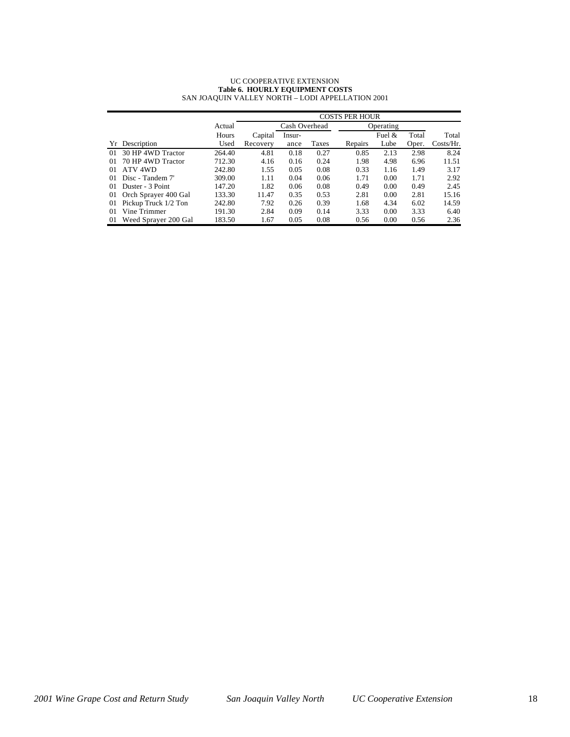#### UC COOPERATIVE EXTENSION **Table 6. HOURLY EQUIPMENT COSTS** SAN JOAQUIN VALLEY NORTH – LODI APPELLATION 2001

|    |                      |        | <b>COSTS PER HOUR</b> |        |       |           |          |       |              |  |
|----|----------------------|--------|-----------------------|--------|-------|-----------|----------|-------|--------------|--|
|    |                      | Actual | Cash Overhead         |        |       | Operating |          |       |              |  |
|    |                      | Hours  | Capital               | Insur- |       |           | Fuel $&$ | Total | Total        |  |
|    | Yr Description       | Used   | Recovery              | ance   | Taxes | Repairs   | Lube     | Oper. | $Costs/Hr$ . |  |
| 01 | 30 HP 4WD Tractor    | 264.40 | 4.81                  | 0.18   | 0.27  | 0.85      | 2.13     | 2.98  | 8.24         |  |
| 01 | 70 HP 4WD Tractor    | 712.30 | 4.16                  | 0.16   | 0.24  | 1.98      | 4.98     | 6.96  | 11.51        |  |
| 01 | ATV 4WD              | 242.80 | 1.55                  | 0.05   | 0.08  | 0.33      | 1.16     | 1.49  | 3.17         |  |
| 01 | Disc - Tandem 7'     | 309.00 | 1.11                  | 0.04   | 0.06  | 1.71      | 0.00     | 1.71  | 2.92         |  |
| 01 | Duster - 3 Point     | 147.20 | 1.82                  | 0.06   | 0.08  | 0.49      | 0.00     | 0.49  | 2.45         |  |
| 01 | Orch Sprayer 400 Gal | 133.30 | 11.47                 | 0.35   | 0.53  | 2.81      | 0.00     | 2.81  | 15.16        |  |
| 01 | Pickup Truck 1/2 Ton | 242.80 | 7.92                  | 0.26   | 0.39  | 1.68      | 4.34     | 6.02  | 14.59        |  |
| 01 | Vine Trimmer         | 191.30 | 2.84                  | 0.09   | 0.14  | 3.33      | 0.00     | 3.33  | 6.40         |  |
| 01 | Weed Sprayer 200 Gal | 183.50 | 1.67                  | 0.05   | 0.08  | 0.56      | 0.00     | 0.56  | 2.36         |  |